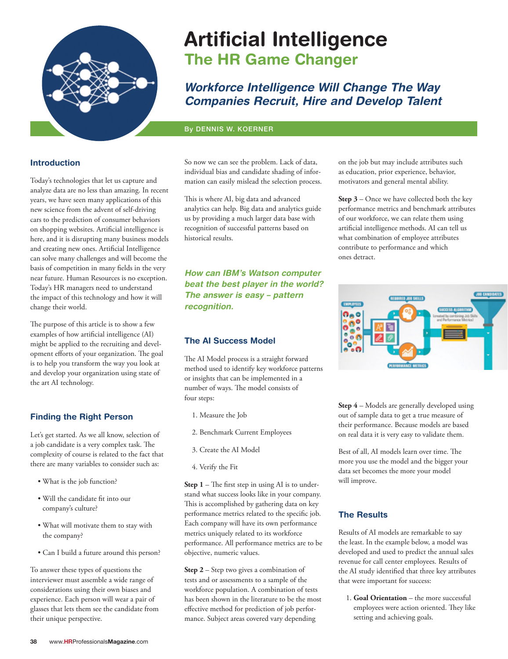

# **Artificial Intelligence The HR Game Changer**

# *Workforce Intelligence Will Change The Way Companies Recruit, Hire and Develop Talent*

### By DENNIS W. KOERNER

# **Introduction**

Today's technologies that let us capture and analyze data are no less than amazing. In recent years, we have seen many applications of this new science from the advent of self-driving cars to the prediction of consumer behaviors on shopping websites. Artificial intelligence is here, and it is disrupting many business models and creating new ones. Artificial Intelligence can solve many challenges and will become the basis of competition in many fields in the very near future. Human Resources is no exception. Today's HR managers need to understand the impact of this technology and how it will change their world.

The purpose of this article is to show a few examples of how artificial intelligence (AI) might be applied to the recruiting and development efforts of your organization. The goal is to help you transform the way you look at and develop your organization using state of the art AI technology.

# **Finding the Right Person**

Let's get started. As we all know, selection of a job candidate is a very complex task. The complexity of course is related to the fact that there are many variables to consider such as:

- What is the job function?
- Will the candidate fit into our company's culture?
- What will motivate them to stay with the company?
- Can I build a future around this person?

To answer these types of questions the interviewer must assemble a wide range of considerations using their own biases and experience. Each person will wear a pair of glasses that lets them see the candidate from their unique perspective.

So now we can see the problem. Lack of data, individual bias and candidate shading of information can easily mislead the selection process.

This is where AI, big data and advanced analytics can help. Big data and analytics guide us by providing a much larger data base with recognition of successful patterns based on historical results.

*How can IBM's Watson computer beat the best player in the world? The answer is easy – pattern recognition.*

## **The AI Success Model**

The AI Model process is a straight forward method used to identify key workforce patterns or insights that can be implemented in a number of ways. The model consists of four steps:

- 1. Measure the Job
- 2. Benchmark Current Employees
- 3. Create the AI Model
- 4. Verify the Fit

**Step 1** – The first step in using AI is to understand what success looks like in your company. This is accomplished by gathering data on key performance metrics related to the specific job. Each company will have its own performance metrics uniquely related to its workforce performance. All performance metrics are to be objective, numeric values.

**Step 2** – Step two gives a combination of tests and or assessments to a sample of the workforce population. A combination of tests has been shown in the literature to be the most effective method for prediction of job performance. Subject areas covered vary depending

on the job but may include attributes such as education, prior experience, behavior, motivators and general mental ability.

**Step 3** – Once we have collected both the key performance metrics and benchmark attributes of our workforce, we can relate them using artificial intelligence methods. AI can tell us what combination of employee attributes contribute to performance and which ones detract.



**Step 4** – Models are generally developed using out of sample data to get a true measure of their performance. Because models are based on real data it is very easy to validate them.

Best of all, AI models learn over time. The more you use the model and the bigger your data set becomes the more your model will improve.

# **The Results**

Results of AI models are remarkable to say the least. In the example below, a model was developed and used to predict the annual sales revenue for call center employees. Results of the AI study identified that three key attributes that were important for success:

1. **Goal Orientation** – the more successful employees were action oriented. They like setting and achieving goals.